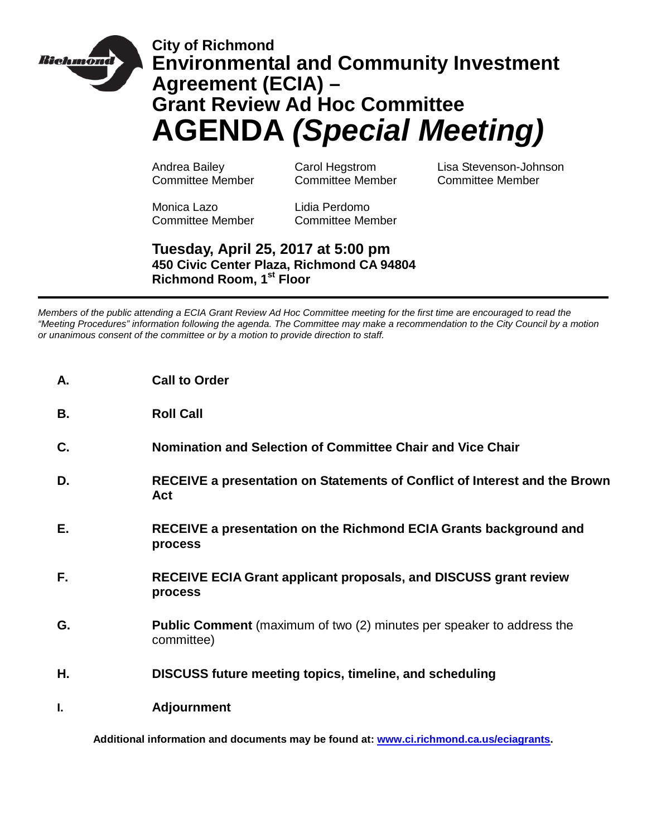

# **City of Richmond Environmental and Community Investment Agreement (ECIA) – Grant Review Ad Hoc Committee AGENDA** *(Special Meeting)*

Andrea Bailey Carol Hegstrom Lisa Stevenson-Johnson Committee Member Committee Member Committee Member

Monica Lazo Lidia Perdomo Committee Member Committee Member

## **Tuesday, April 25, 2017 at 5:00 pm 450 Civic Center Plaza, Richmond CA 94804 Richmond Room, 1st Floor**

*Members of the public attending a ECIA Grant Review Ad Hoc Committee meeting for the first time are encouraged to read the "Meeting Procedures" information following the agenda. The Committee may make a recommendation to the City Council by a motion or unanimous consent of the committee or by a motion to provide direction to staff.*

| Α.        | <b>Call to Order</b>                                                                       |
|-----------|--------------------------------------------------------------------------------------------|
| <b>B.</b> | <b>Roll Call</b>                                                                           |
| C.        | Nomination and Selection of Committee Chair and Vice Chair                                 |
| D.        | RECEIVE a presentation on Statements of Conflict of Interest and the Brown<br>Act          |
| Е.        | RECEIVE a presentation on the Richmond ECIA Grants background and<br>process               |
| F.        | <b>RECEIVE ECIA Grant applicant proposals, and DISCUSS grant review</b><br>process         |
| G.        | <b>Public Comment</b> (maximum of two (2) minutes per speaker to address the<br>committee) |
| Η.        | <b>DISCUSS future meeting topics, timeline, and scheduling</b>                             |
| L.        | <b>Adjournment</b>                                                                         |

**Additional information and documents may be found at: [www.ci.richmond.ca.us/eciagrants.](http://www.ci.richmond.ca.us/eciagrants)**